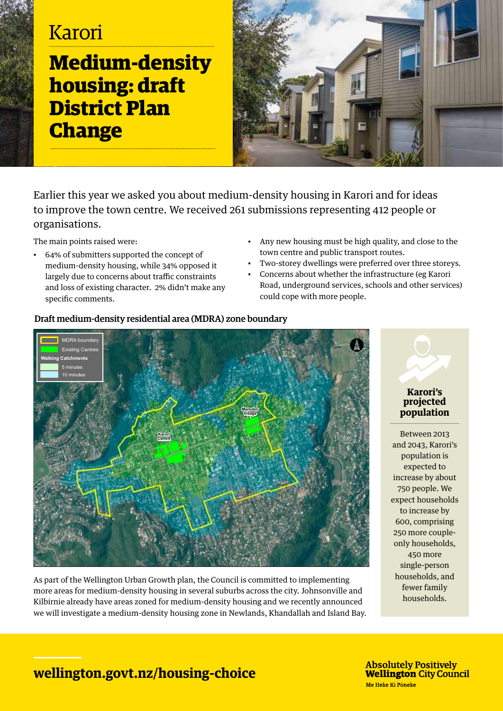# Karori **Medium-density housing: draft District Plan Change**



Earlier this year we asked you about medium-density housing in Karori and for ideas to improve the town centre. We received 261 submissions representing 412 people or organisations.

The main points raised were:

- 64% of submitters supported the concept of medium-density housing, while 34% opposed it largely due to concerns about traffic constraints and loss of existing character. 2% didn't make any specific comments.
- Any new housing must be high quality, and close to the town centre and public transport routes.
- Two-storey dwellings were preferred over three storeys.
- Concerns about whether the infrastructure (eg Karori Road, underground services, schools and other services) could cope with more people.



As part of the Wellington Urban Growth plan, the Council is committed to implementing more areas for medium-density housing in several suburbs across the city. Johnsonville and Kilbirnie already have areas zoned for medium-density housing and we recently announced we will investigate a medium-density housing zone in Newlands, Khandallah and Island Bay.

# **Karori's projected population**

Between 2013 and 2043, Karori's population is expected to increase by about 750 people. We expect households to increase by 600, comprising 250 more coupleonly households, 450 more single-person households, and fewer family households.

### **wellington.govt.nz/housing-choice**

**Absolutely Positively Wellington City Council** Me Heke Ki Pōneke

#### Draft medium-density residential area (MDRA) zone boundary